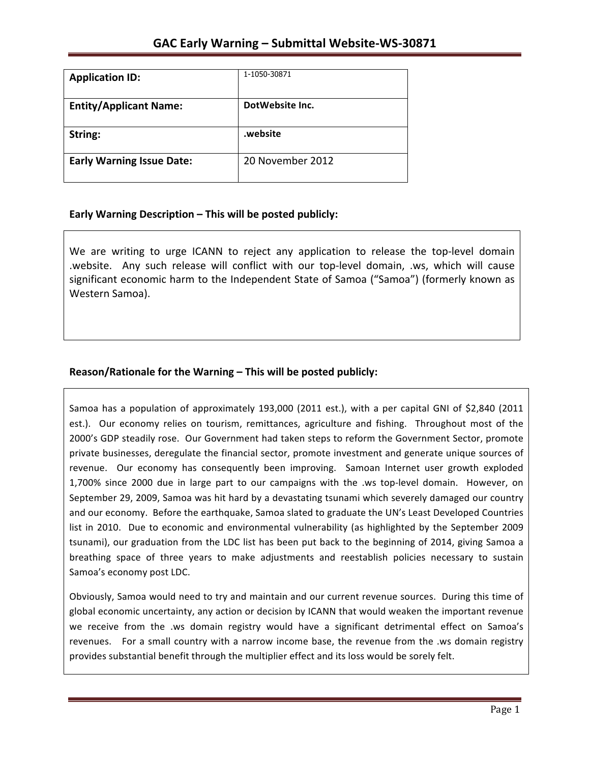| <b>Application ID:</b>           | 1-1050-30871     |
|----------------------------------|------------------|
| <b>Entity/Applicant Name:</b>    | DotWebsite Inc.  |
|                                  |                  |
| String:                          | .website         |
| <b>Early Warning Issue Date:</b> | 20 November 2012 |
|                                  |                  |

## **Early Warning Description – This will be posted publicly:**

We are writing to urge ICANN to reject any application to release the top-level domain .website. Any such release will conflict with our top-level domain, .ws, which will cause significant economic harm to the Independent State of Samoa ("Samoa") (formerly known as Western Samoa).

# **Reason/Rationale for the Warning – This will be posted publicly:**

Samoa has a population of approximately 193,000 (2011 est.), with a per capital GNI of \$2,840 (2011 est.). Our economy relies on tourism, remittances, agriculture and fishing. Throughout most of the 2000's GDP steadily rose. Our Government had taken steps to reform the Government Sector, promote private businesses, deregulate the financial sector, promote investment and generate unique sources of revenue. Our economy has consequently been improving. Samoan Internet user growth exploded 1,700% since 2000 due in large part to our campaigns with the .ws top-level domain. However, on September 29, 2009, Samoa was hit hard by a devastating tsunami which severely damaged our country and our economy. Before the earthquake, Samoa slated to graduate the UN's Least Developed Countries list in 2010. Due to economic and environmental vulnerability (as highlighted by the September 2009 tsunami), our graduation from the LDC list has been put back to the beginning of 2014, giving Samoa a breathing space of three years to make adjustments and reestablish policies necessary to sustain Samoa's economy post LDC.

Obviously, Samoa would need to try and maintain and our current revenue sources. During this time of global economic uncertainty, any action or decision by ICANN that would weaken the important revenue we receive from the .ws domain registry would have a significant detrimental effect on Samoa's revenues. For a small country with a narrow income base, the revenue from the .ws domain registry provides substantial benefit through the multiplier effect and its loss would be sorely felt.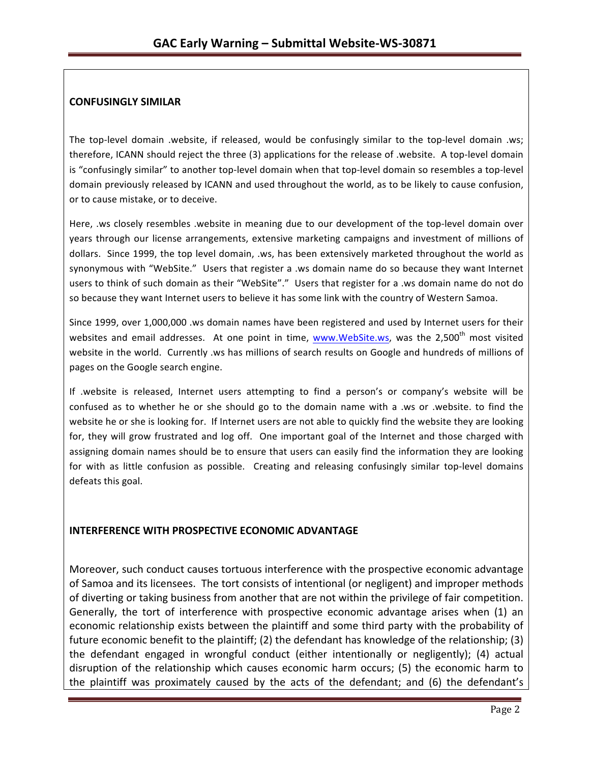### **CONFUSINGLY SIMILAR**

The top-level domain .website, if released, would be confusingly similar to the top-level domain .ws; therefore, ICANN should reject the three (3) applications for the release of .website. A top-level domain is "confusingly similar" to another top-level domain when that top-level domain so resembles a top-level domain previously released by ICANN and used throughout the world, as to be likely to cause confusion, or to cause mistake, or to deceive.

Here, .ws closely resembles .website in meaning due to our development of the top-level domain over years through our license arrangements, extensive marketing campaigns and investment of millions of dollars. Since 1999, the top level domain, .ws, has been extensively marketed throughout the world as synonymous with "WebSite." Users that register a .ws domain name do so because they want Internet users to think of such domain as their "WebSite"." Users that register for a .ws domain name do not do so because they want Internet users to believe it has some link with the country of Western Samoa.

Since 1999, over 1,000,000 .ws domain names have been registered and used by Internet users for their websites and email addresses. At one point in time, www.WebSite.ws, was the 2,500<sup>th</sup> most visited website in the world. Currently .ws has millions of search results on Google and hundreds of millions of pages on the Google search engine.

If .website is released, Internet users attempting to find a person's or company's website will be confused as to whether he or she should go to the domain name with a .ws or .website. to find the website he or she is looking for. If Internet users are not able to quickly find the website they are looking for, they will grow frustrated and log off. One important goal of the Internet and those charged with assigning domain names should be to ensure that users can easily find the information they are looking for with as little confusion as possible. Creating and releasing confusingly similar top-level domains defeats this goal.

## **INTERFERENCE WITH PROSPECTIVE ECONOMIC ADVANTAGE**

Moreover, such conduct causes tortuous interference with the prospective economic advantage of Samoa and its licensees. The tort consists of intentional (or negligent) and improper methods of diverting or taking business from another that are not within the privilege of fair competition. Generally, the tort of interference with prospective economic advantage arises when (1) an economic relationship exists between the plaintiff and some third party with the probability of future economic benefit to the plaintiff; (2) the defendant has knowledge of the relationship; (3) the defendant engaged in wrongful conduct (either intentionally or negligently); (4) actual disruption of the relationship which causes economic harm occurs; (5) the economic harm to the plaintiff was proximately caused by the acts of the defendant; and (6) the defendant's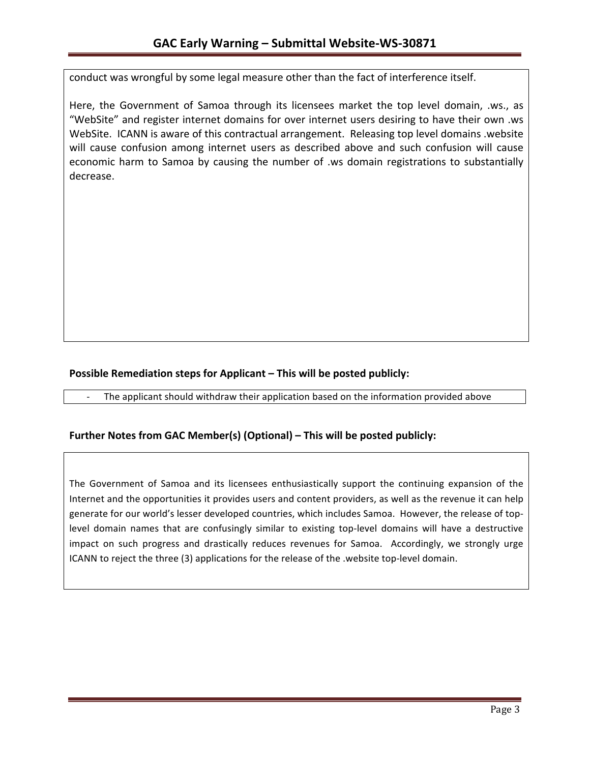conduct was wrongful by some legal measure other than the fact of interference itself.

Here, the Government of Samoa through its licensees market the top level domain, .ws., as "WebSite" and register internet domains for over internet users desiring to have their own .ws WebSite. ICANN is aware of this contractual arrangement. Releasing top level domains .website will cause confusion among internet users as described above and such confusion will cause economic harm to Samoa by causing the number of .ws domain registrations to substantially decrease.

## **Possible Remediation steps for Applicant – This will be posted publicly:**

The applicant should withdraw their application based on the information provided above

## **Further Notes from GAC Member(s) (Optional) – This will be posted publicly:**

The Government of Samoa and its licensees enthusiastically support the continuing expansion of the Internet and the opportunities it provides users and content providers, as well as the revenue it can help generate for our world's lesser developed countries, which includes Samoa. However, the release of toplevel domain names that are confusingly similar to existing top-level domains will have a destructive impact on such progress and drastically reduces revenues for Samoa. Accordingly, we strongly urge ICANN to reject the three (3) applications for the release of the .website top-level domain.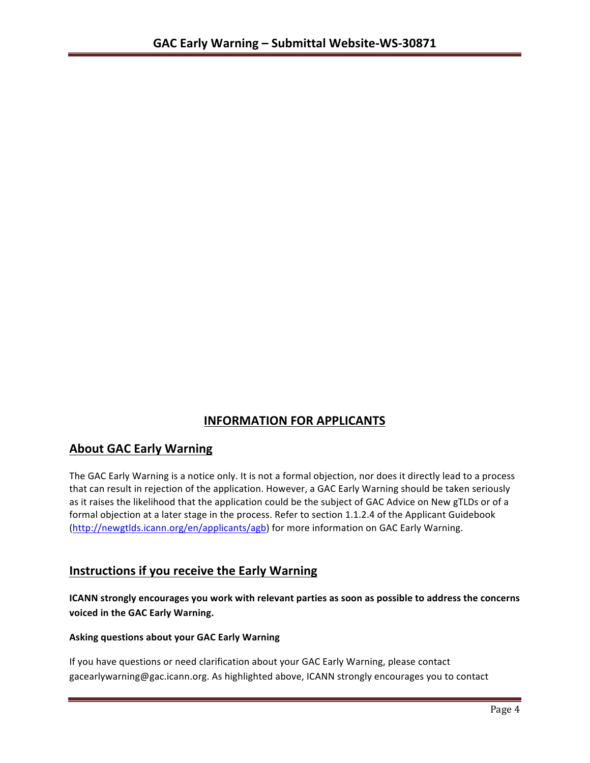# **INFORMATION FOR APPLICANTS**

# **About GAC Early Warning**

The GAC Early Warning is a notice only. It is not a formal objection, nor does it directly lead to a process that can result in rejection of the application. However, a GAC Early Warning should be taken seriously as it raises the likelihood that the application could be the subject of GAC Advice on New gTLDs or of a formal objection at a later stage in the process. Refer to section 1.1.2.4 of the Applicant Guidebook (http://newgtlds.icann.org/en/applicants/agb) for more information on GAC Early Warning.

# **Instructions if you receive the Early Warning**

**ICANN** strongly encourages you work with relevant parties as soon as possible to address the concerns **voiced in the GAC Early Warning.** 

### **Asking questions about your GAC Early Warning**

If you have questions or need clarification about your GAC Early Warning, please contact gacearlywarning@gac.icann.org. As highlighted above, ICANN strongly encourages you to contact